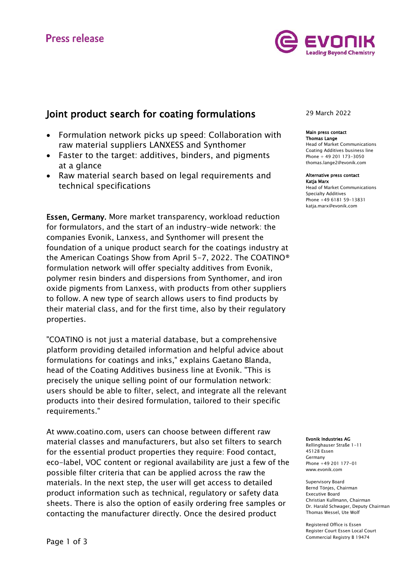# **Press release**



# Joint product search for coating formulations

- Formulation network picks up speed: Collaboration with raw material suppliers LANXESS and Synthomer
- Faster to the target: additives, binders, and pigments at a glance
- Raw material search based on legal requirements and technical specifications

Essen, Germany. More market transparency, workload reduction for formulators, and the start of an industry-wide network: the companies Evonik, Lanxess, and Synthomer will present the foundation of a unique product search for the coatings industry at the American Coatings Show from April 5-7, 2022. The COATINO® formulation network will offer specialty additives from Evonik, polymer resin binders and dispersions from Synthomer, and iron oxide pigments from Lanxess, with products from other suppliers to follow. A new type of search allows users to find products by their material class, and for the first time, also by their regulatory properties.

"COATINO is not just a material database, but a comprehensive platform providing detailed information and helpful advice about formulations for coatings and inks," explains Gaetano Blanda, head of the Coating Additives business line at Evonik. "This is precisely the unique selling point of our formulation network: users should be able to filter, select, and integrate all the relevant products into their desired formulation, tailored to their specific requirements."

At www.coatino.com, users can choose between different raw material classes and manufacturers, but also set filters to search for the essential product properties they require: Food contact, eco-label, VOC content or regional availability are just a few of the possible filter criteria that can be applied across the raw the materials. In the next step, the user will get access to detailed product information such as technical, regulatory or safety data sheets. There is also the option of easily ordering free samples or contacting the manufacturer directly. Once the desired product

## 29 March 2022

### Main press contact Thomas Lange

Head of Market Communications Coating Additives business line Phone + 49 201 173-3050 thomas.lange2@evonik.com

### Alternative press contact Katja Marx

Head of Market Communications Specialty Additives Phone +49 6181 59-13831 katja.marx@evonik.com

### Evonik Industries AG

Rellinghauser Straße 1-11 45128 Essen Germany Phone +49 201 177-01 www.evonik.com

Supervisory Board Bernd Tönjes, Chairman Executive Board Christian Kullmann, Chairman Dr. Harald Schwager, Deputy Chairman Thomas Wessel, Ute Wolf

Registered Office is Essen Register Court Essen Local Court Commercial Registry B 19474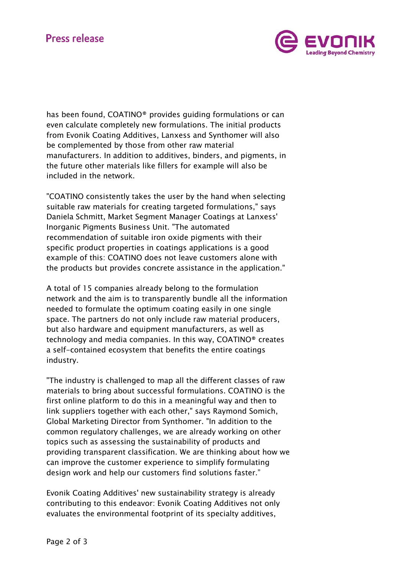# **Press release**



has been found, COATINO® provides guiding formulations or can even calculate completely new formulations. The initial products from Evonik Coating Additives, Lanxess and Synthomer will also be complemented by those from other raw material manufacturers. In addition to additives, binders, and pigments, in the future other materials like fillers for example will also be included in the network.

"COATINO consistently takes the user by the hand when selecting suitable raw materials for creating targeted formulations," says Daniela Schmitt, Market Segment Manager Coatings at Lanxess' Inorganic Pigments Business Unit. "The automated recommendation of suitable iron oxide pigments with their specific product properties in coatings applications is a good example of this: COATINO does not leave customers alone with the products but provides concrete assistance in the application."

A total of 15 companies already belong to the formulation network and the aim is to transparently bundle all the information needed to formulate the optimum coating easily in one single space. The partners do not only include raw material producers, but also hardware and equipment manufacturers, as well as technology and media companies. In this way, COATINO® creates a self-contained ecosystem that benefits the entire coatings industry.

"The industry is challenged to map all the different classes of raw materials to bring about successful formulations. COATINO is the first online platform to do this in a meaningful way and then to link suppliers together with each other," says Raymond Somich, Global Marketing Director from Synthomer. "In addition to the common regulatory challenges, we are already working on other topics such as assessing the sustainability of products and providing transparent classification. We are thinking about how we can improve the customer experience to simplify formulating design work and help our customers find solutions faster."

Evonik Coating Additives' new sustainability strategy is already contributing to this endeavor: Evonik Coating Additives not only evaluates the environmental footprint of its specialty additives,